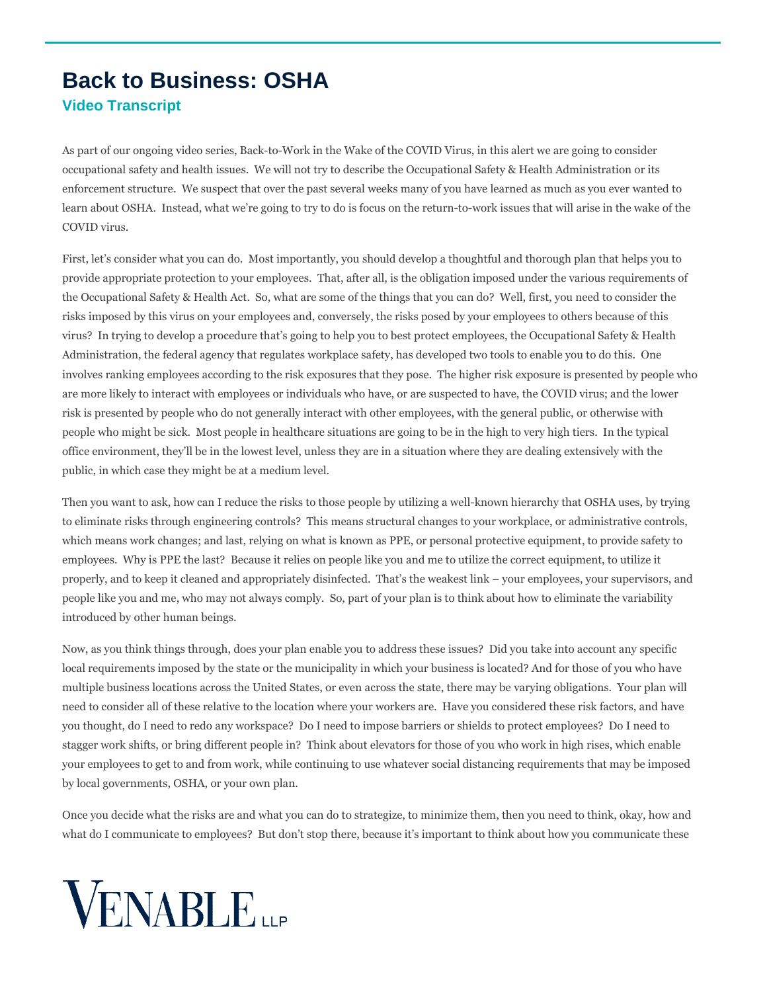## **Back to Business: OSHA Video Transcript**

As part of our ongoing video series, Back-to-Work in the Wake of the COVID Virus, in this alert we are going to consider occupational safety and health issues. We will not try to describe the Occupational Safety & Health Administration or its enforcement structure. We suspect that over the past several weeks many of you have learned as much as you ever wanted to learn about OSHA. Instead, what we're going to try to do is focus on the return-to-work issues that will arise in the wake of the COVID virus.

First, let's consider what you can do. Most importantly, you should develop a thoughtful and thorough plan that helps you to provide appropriate protection to your employees. That, after all, is the obligation imposed under the various requirements of the Occupational Safety & Health Act. So, what are some of the things that you can do? Well, first, you need to consider the risks imposed by this virus on your employees and, conversely, the risks posed by your employees to others because of this virus? In trying to develop a procedure that's going to help you to best protect employees, the Occupational Safety & Health Administration, the federal agency that regulates workplace safety, has developed two tools to enable you to do this. One involves ranking employees according to the risk exposures that they pose. The higher risk exposure is presented by people who are more likely to interact with employees or individuals who have, or are suspected to have, the COVID virus; and the lower risk is presented by people who do not generally interact with other employees, with the general public, or otherwise with people who might be sick. Most people in healthcare situations are going to be in the high to very high tiers. In the typical office environment, they'll be in the lowest level, unless they are in a situation where they are dealing extensively with the public, in which case they might be at a medium level.

Then you want to ask, how can I reduce the risks to those people by utilizing a well-known hierarchy that OSHA uses, by trying to eliminate risks through engineering controls? This means structural changes to your workplace, or administrative controls, which means work changes; and last, relying on what is known as PPE, or personal protective equipment, to provide safety to employees. Why is PPE the last? Because it relies on people like you and me to utilize the correct equipment, to utilize it properly, and to keep it cleaned and appropriately disinfected. That's the weakest link – your employees, your supervisors, and people like you and me, who may not always comply. So, part of your plan is to think about how to eliminate the variability introduced by other human beings.

Now, as you think things through, does your plan enable you to address these issues? Did you take into account any specific local requirements imposed by the state or the municipality in which your business is located? And for those of you who have multiple business locations across the United States, or even across the state, there may be varying obligations. Your plan will need to consider all of these relative to the location where your workers are. Have you considered these risk factors, and have you thought, do I need to redo any workspace? Do I need to impose barriers or shields to protect employees? Do I need to stagger work shifts, or bring different people in? Think about elevators for those of you who work in high rises, which enable your employees to get to and from work, while continuing to use whatever social distancing requirements that may be imposed by local governments, OSHA, or your own plan.

Once you decide what the risks are and what you can do to strategize, to minimize them, then you need to think, okay, how and what do I communicate to employees? But don't stop there, because it's important to think about how you communicate these